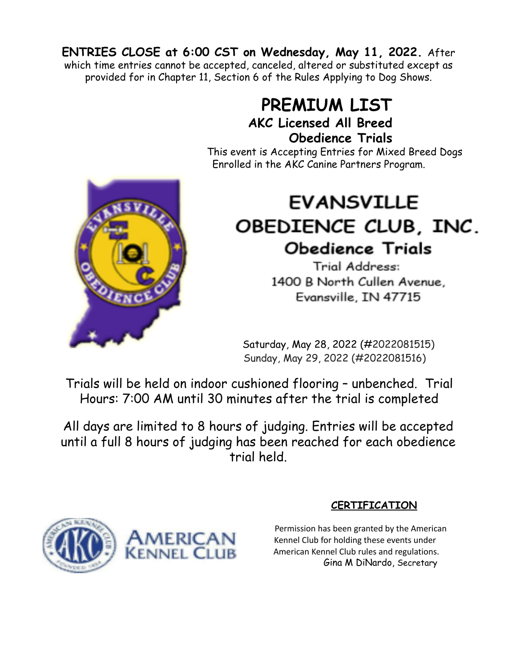**ENTRIES CLOSE at 6:00 CST on Wednesday, May 11, 2022.** After which time entries cannot be accepted, canceled, altered or substituted except as provided for in Chapter 11, Section 6 of the Rules Applying to Dog Shows.

# **PREMIUM LIST AKC Licensed All Breed Obedience Trials**

This event is Accepting Entries for Mixed Breed Dogs Enrolled in the AKC Canine Partners Program.

# **EVANSVILLE** OBEDIENCE CLUB, INC. **Obedience Trials**

Trial Address: 1400 B North Cullen Avenue, Evansville, IN 47715

Saturday, May 28, 2022 (#2022081515) Sunday, May 29, 2022 (#2022081516)

Trials will be held on indoor cushioned flooring – unbenched. Trial Hours: 7:00 AM until 30 minutes after the trial is completed

All days are limited to 8 hours of judging. Entries will be accepted until a full 8 hours of judging has been reached for each obedience trial held.



# **CERTIFICATION**

Permission has been granted by the American Kennel Club for holding these events under American Kennel Club rules and regulations. Gina M DiNardo, Secretary

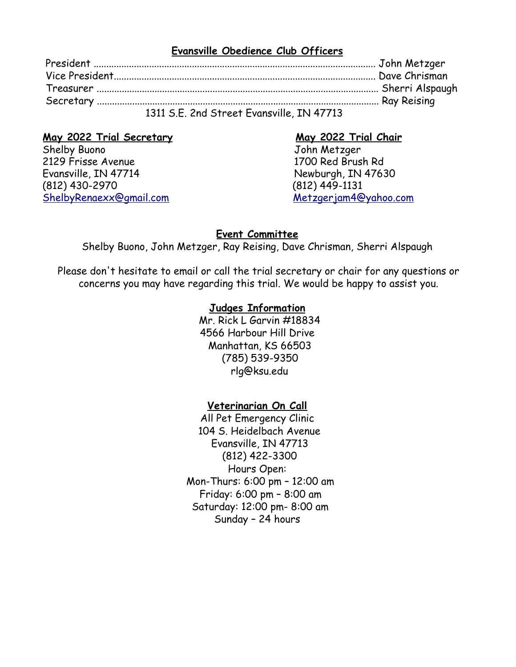#### **Evansville Obedience Club Officers**

| 1311 S.E. 2nd Street Evansville, IN 47713 |
|-------------------------------------------|

# **May 2022 Trial Secretary May 2022 Trial Chair**

Shelby Buono John Metzger 2129 Frisse Avenue 1700 Red Brush Rd Evansville, IN 47714 Newburgh, IN 47630 (812) 430-2970 (812) 449-1131 ShelbyRenaexx@gmail.com Metzgerjam4@yahoo.com

#### **Event Committee**

Shelby Buono, John Metzger, Ray Reising, Dave Chrisman, Sherri Alspaugh

Please don't hesitate to email or call the trial secretary or chair for any questions or concerns you may have regarding this trial. We would be happy to assist you.

#### **Judges Information**

Mr. Rick L Garvin #18834 4566 Harbour Hill Drive Manhattan, KS 66503 (785) 539-9350 rlg@ksu.edu

#### **Veterinarian On Call**

All Pet Emergency Clinic 104 S. Heidelbach Avenue Evansville, IN 47713 (812) 422-3300 Hours Open: Mon-Thurs: 6:00 pm – 12:00 am Friday: 6:00 pm – 8:00 am Saturday: 12:00 pm- 8:00 am Sunday – 24 hours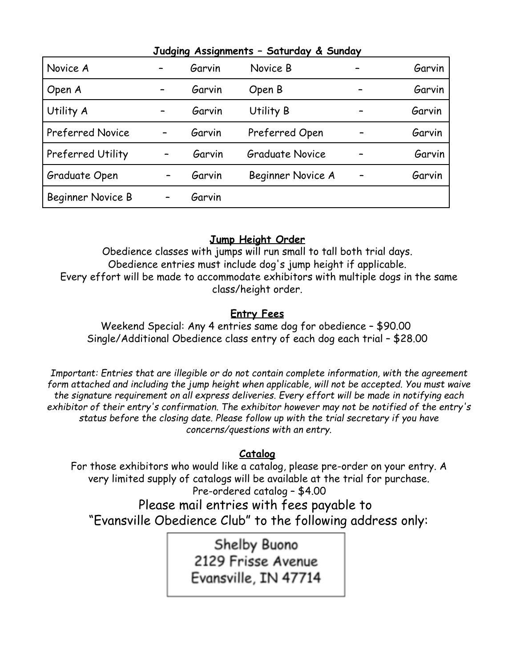| Judging Assignments - Suturaay & Sunday |   |        |                        |  |        |  |  |
|-----------------------------------------|---|--------|------------------------|--|--------|--|--|
| Novice A                                |   | Garvin | Novice B               |  | Garvin |  |  |
| Open A                                  |   | Garvin | Open B                 |  | Garvin |  |  |
| Utility A                               |   | Garvin | Utility B              |  | Garvin |  |  |
| <b>Preferred Novice</b>                 | - | Garvin | Preferred Open         |  | Garvin |  |  |
| <b>Preferred Utility</b>                |   | Garvin | <b>Graduate Novice</b> |  | Garvin |  |  |
| Graduate Open                           |   | Garvin | Beginner Novice A      |  | Garvin |  |  |
| Beginner Novice B                       |   | Garvin |                        |  |        |  |  |

#### **Judging Assignments – Saturday & Sunday**

#### **Jump Height Order**

Obedience classes with jumps will run small to tall both trial days. Obedience entries must include dog's jump height if applicable. Every effort will be made to accommodate exhibitors with multiple dogs in the same class/height order.

# **Entry Fees**

Weekend Special: Any 4 entries same dog for obedience – \$90.00 Single/Additional Obedience class entry of each dog each trial – \$28.00

*Important: Entries that are illegible or do not contain complete information, with the agreement form attached and including the jump height when applicable, will not be accepted. You must waive the signature requirement on all express deliveries. Every effort will be made in notifying each exhibitor of their entry's confirmation. The exhibitor however may not be notified of the entry's status before the closing date. Please follow up with the trial secretary if you have concerns/questions with an entry.*

#### **Catalog**

For those exhibitors who would like a catalog, please pre-order on your entry. A very limited supply of catalogs will be available at the trial for purchase. Pre-ordered catalog – \$4.00

Please mail entries with fees payable to "Evansville Obedience Club" to the following address only:

> Shelby Buono 2129 Frisse Avenue Evansville, IN 47714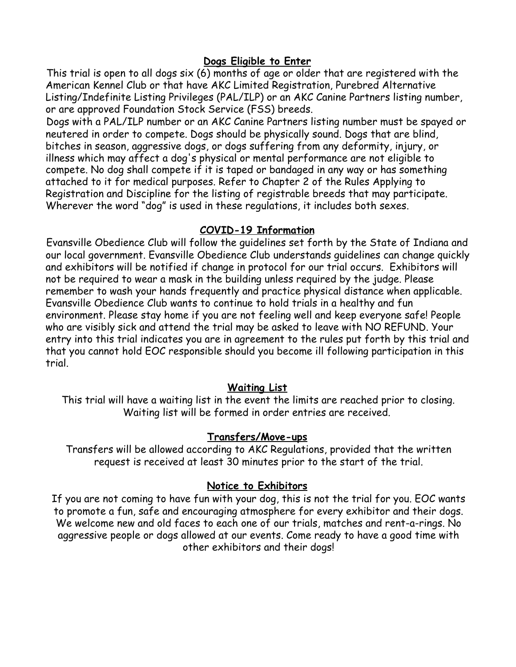#### **Dogs Eligible to Enter**

This trial is open to all dogs six (6) months of age or older that are registered with the American Kennel Club or that have AKC Limited Registration, Purebred Alternative Listing/Indefinite Listing Privileges (PAL/ILP) or an AKC Canine Partners listing number, or are approved Foundation Stock Service (FSS) breeds.

Dogs with a PAL/ILP number or an AKC Canine Partners listing number must be spayed or neutered in order to compete. Dogs should be physically sound. Dogs that are blind, bitches in season, aggressive dogs, or dogs suffering from any deformity, injury, or illness which may affect a dog's physical or mental performance are not eligible to compete. No dog shall compete if it is taped or bandaged in any way or has something attached to it for medical purposes. Refer to Chapter 2 of the Rules Applying to Registration and Discipline for the listing of registrable breeds that may participate. Wherever the word "dog" is used in these regulations, it includes both sexes.

### **COVID-19 Information**

Evansville Obedience Club will follow the guidelines set forth by the State of Indiana and our local government. Evansville Obedience Club understands guidelines can change quickly and exhibitors will be notified if change in protocol for our trial occurs. Exhibitors will not be required to wear a mask in the building unless required by the judge. Please remember to wash your hands frequently and practice physical distance when applicable. Evansville Obedience Club wants to continue to hold trials in a healthy and fun environment. Please stay home if you are not feeling well and keep everyone safe! People who are visibly sick and attend the trial may be asked to leave with NO REFUND. Your entry into this trial indicates you are in agreement to the rules put forth by this trial and that you cannot hold EOC responsible should you become ill following participation in this trial.

# **Waiting List**

This trial will have a waiting list in the event the limits are reached prior to closing. Waiting list will be formed in order entries are received.

# **Transfers/Move-ups**

Transfers will be allowed according to AKC Regulations, provided that the written request is received at least 30 minutes prior to the start of the trial.

# **Notice to Exhibitors**

If you are not coming to have fun with your dog, this is not the trial for you. EOC wants to promote a fun, safe and encouraging atmosphere for every exhibitor and their dogs. We welcome new and old faces to each one of our trials, matches and rent-a-rings. No aggressive people or dogs allowed at our events. Come ready to have a good time with other exhibitors and their dogs!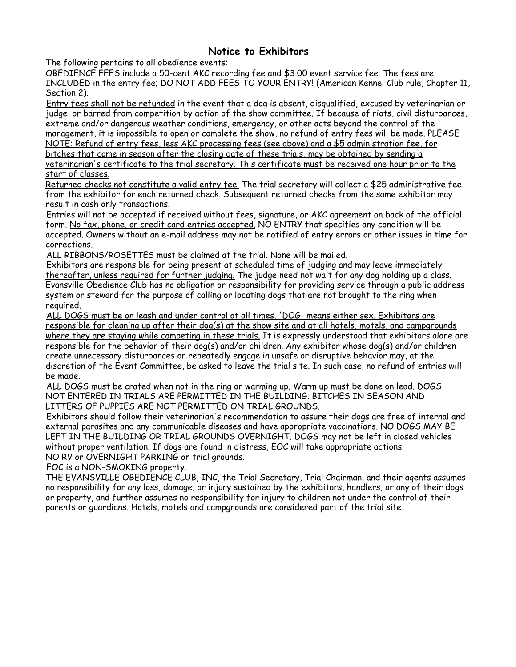#### **Notice to Exhibitors**

The following pertains to all obedience events:

OBEDIENCE FEES include a 50-cent AKC recording fee and \$3.00 event service fee. The fees are INCLUDED in the entry fee; DO NOT ADD FEES TO YOUR ENTRY! (American Kennel Club rule, Chapter 11, Section 2).

Entry fees shall not be refunded in the event that a dog is absent, disqualified, excused by veterinarian or judge, or barred from competition by action of the show committee. If because of riots, civil disturbances, extreme and/or dangerous weather conditions, emergency, or other acts beyond the control of the management, it is impossible to open or complete the show, no refund of entry fees will be made. PLEASE NOTE: Refund of entry fees, less AKC processing fees (see above) and a \$5 administration fee, for bitches that come in season after the closing date of these trials, may be obtained by sending a

veterinarian's certificate to the trial secretary. This certificate must be received one hour prior to the start of classes.

Returned checks not constitute a valid entry fee. The trial secretary will collect a \$25 administrative fee from the exhibitor for each returned check. Subsequent returned checks from the same exhibitor may result in cash only transactions.

Entries will not be accepted if received without fees, signature, or AKC agreement on back of the official form. No fax, phone, or credit card entries accepted. NO ENTRY that specifies any condition will be accepted. Owners without an e-mail address may not be notified of entry errors or other issues in time for corrections.

ALL RIBBONS/ROSETTES must be claimed at the trial. None will be mailed.

Exhibitors are responsible for being present at scheduled time of judging and may leave immediately thereafter, unless required for further judging. The judge need not wait for any dog holding up a class. Evansville Obedience Club has no obligation or responsibility for providing service through a public address system or steward for the purpose of calling or locating dogs that are not brought to the ring when required.

ALL DOGS must be on leash and under control at all times. 'DOG' means either sex. Exhibitors are responsible for cleaning up after their dog(s) at the show site and at all hotels, motels, and campgrounds where they are staying while competing in these trials. It is expressly understood that exhibitors alone are responsible for the behavior of their dog(s) and/or children. Any exhibitor whose dog(s) and/or children create unnecessary disturbances or repeatedly engage in unsafe or disruptive behavior may, at the discretion of the Event Committee, be asked to leave the trial site. In such case, no refund of entries will be made.

ALL DOGS must be crated when not in the ring or warming up. Warm up must be done on lead. DOGS NOT ENTERED IN TRIALS ARE PERMITTED IN THE BUILDING. BITCHES IN SEASON AND LITTERS OF PUPPIES ARE NOT PERMITTED ON TRIAL GROUNDS.

Exhibitors should follow their veterinarian's recommendation to assure their dogs are free of internal and external parasites and any communicable diseases and have appropriate vaccinations. NO DOGS MAY BE LEFT IN THE BUILDING OR TRIAL GROUNDS OVERNIGHT. DOGS may not be left in closed vehicles without proper ventilation. If dogs are found in distress, EOC will take appropriate actions. NO RV or OVERNIGHT PARKING on trial grounds.

EOC is a NON-SMOKING property.

THE EVANSVILLE OBEDIENCE CLUB, INC, the Trial Secretary, Trial Chairman, and their agents assumes no responsibility for any loss, damage, or injury sustained by the exhibitors, handlers, or any of their dogs or property, and further assumes no responsibility for injury to children not under the control of their parents or guardians. Hotels, motels and campgrounds are considered part of the trial site.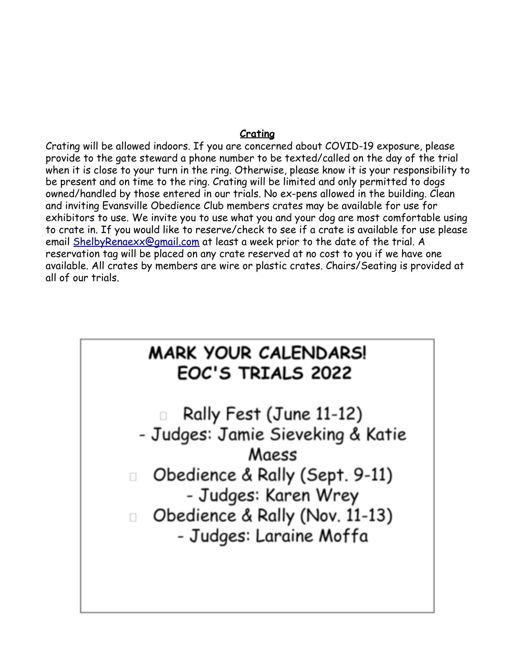#### **Crating**

Crating will be allowed indoors. If you are concerned about COVID-19 exposure, please provide to the gate steward a phone number to be texted/called on the day of the trial when it is close to your turn in the ring. Otherwise, please know it is your responsibility to be present and on time to the ring. Crating will be limited and only permitted to dogs owned/handled by those entered in our trials. No ex-pens allowed in the building. Clean and inviting Evansville Obedience Club members crates may be available for use for exhibitors to use. We invite you to use what you and your dog are most comfortable using to crate in. If you would like to reserve/check to see if a crate is available for use please email ShelbyRenaexx@gmail.com at least a week prior to the date of the trial. A reservation tag will be placed on any crate reserved at no cost to you if we have one available. All crates by members are wire or plastic crates. Chairs/Seating is provided at all of our trials.

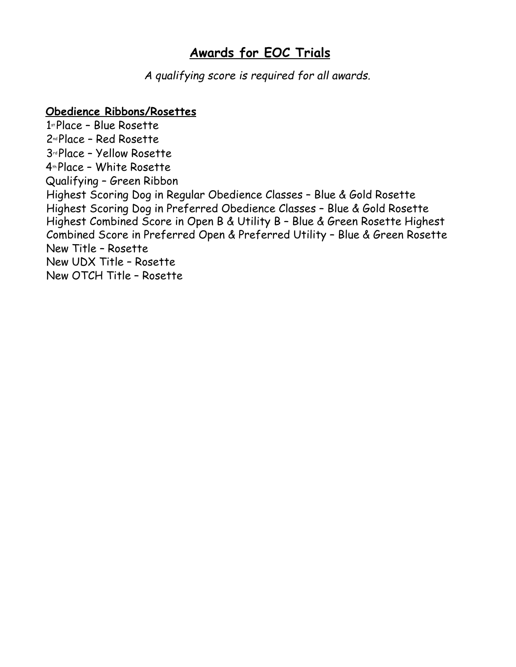# **Awards for EOC Trials**

*A qualifying score is required for all awards.*

# **Obedience Ribbons/Rosettes**

1 stPlace – Blue Rosette 2nd Place – Red Rosette 3rd Place – Yellow Rosette 4th Place – White Rosette Qualifying – Green Ribbon Highest Scoring Dog in Regular Obedience Classes – Blue & Gold Rosette Highest Scoring Dog in Preferred Obedience Classes – Blue & Gold Rosette Highest Combined Score in Open B & Utility B – Blue & Green Rosette Highest Combined Score in Preferred Open & Preferred Utility – Blue & Green Rosette New Title – Rosette New UDX Title – Rosette New OTCH Title – Rosette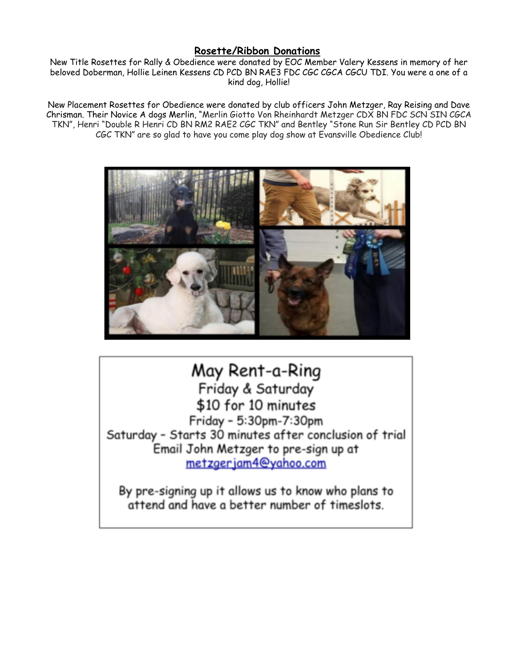#### **Rosette/Ribbon Donations**

New Title Rosettes for Rally & Obedience were donated by EOC Member Valery Kessens in memory of her beloved Doberman, Hollie Leinen Kessens CD PCD BN RAE3 FDC CGC CGCA CGCU TDI. You were a one of a kind dog, Hollie!

New Placement Rosettes for Obedience were donated by club officers John Metzger, Ray Reising and Dave Chrisman. Their Novice A dogs Merlin, "Merlin Giotto Von Rheinhardt Metzger CDX BN FDC SCN SIN CGCA TKN", Henri "Double R Henri CD BN RM2 RAE2 CGC TKN" and Bentley "Stone Run Sir Bentley CD PCD BN CGC TKN" are so glad to have you come play dog show at Evansville Obedience Club!



# May Rent-a-Ring

Friday & Saturday \$10 for 10 minutes Friday - 5:30pm-7:30pm Saturday - Starts 30 minutes after conclusion of trial Email John Metzger to pre-sign up at metzgerjam4@yahoo.com

By pre-signing up it allows us to know who plans to attend and have a better number of timeslots.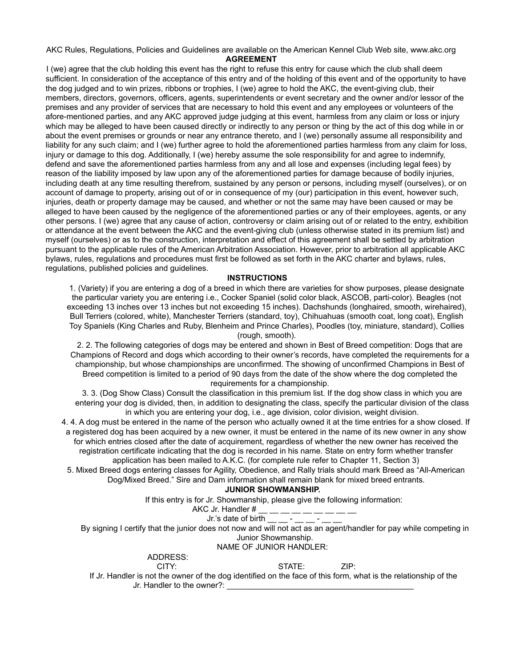#### AKC Rules, Regulations, Policies and Guidelines are available on the American Kennel Club Web site, www.akc.org **AGREEMENT**

I (we) agree that the club holding this event has the right to refuse this entry for cause which the club shall deem sufficient. In consideration of the acceptance of this entry and of the holding of this event and of the opportunity to have the dog judged and to win prizes, ribbons or trophies, I (we) agree to hold the AKC, the event-giving club, their members, directors, governors, officers, agents, superintendents or event secretary and the owner and/or lessor of the premises and any provider of services that are necessary to hold this event and any employees or volunteers of the afore-mentioned parties, and any AKC approved judge judging at this event, harmless from any claim or loss or injury which may be alleged to have been caused directly or indirectly to any person or thing by the act of this dog while in or about the event premises or grounds or near any entrance thereto, and I (we) personally assume all responsibility and liability for any such claim; and I (we) further agree to hold the aforementioned parties harmless from any claim for loss, injury or damage to this dog. Additionally, I (we) hereby assume the sole responsibility for and agree to indemnify, defend and save the aforementioned parties harmless from any and all lose and expenses (including legal fees) by reason of the liability imposed by law upon any of the aforementioned parties for damage because of bodily injuries, including death at any time resulting therefrom, sustained by any person or persons, including myself (ourselves), or on account of damage to property, arising out of or in consequence of my (our) participation in this event, however such, injuries, death or property damage may be caused, and whether or not the same may have been caused or may be alleged to have been caused by the negligence of the aforementioned parties or any of their employees, agents, or any other persons. I (we) agree that any cause of action, controversy or claim arising out of or related to the entry, exhibition or attendance at the event between the AKC and the event-giving club (unless otherwise stated in its premium list) and myself (ourselves) or as to the construction, interpretation and effect of this agreement shall be settled by arbitration pursuant to the applicable rules of the American Arbitration Association. However, prior to arbitration all applicable AKC bylaws, rules, regulations and procedures must first be followed as set forth in the AKC charter and bylaws, rules, regulations, published policies and guidelines.

#### **INSTRUCTIONS**

1. (Variety) if you are entering a dog of a breed in which there are varieties for show purposes, please designate the particular variety you are entering i.e., Cocker Spaniel (solid color black, ASCOB, parti-color). Beagles (not exceeding 13 inches over 13 inches but not exceeding 15 inches). Dachshunds (longhaired, smooth, wirehaired), Bull Terriers (colored, white), Manchester Terriers (standard, toy), Chihuahuas (smooth coat, long coat), English Toy Spaniels (King Charles and Ruby, Blenheim and Prince Charles), Poodles (toy, miniature, standard), Collies (rough, smooth).

2. 2. The following categories of dogs may be entered and shown in Best of Breed competition: Dogs that are Champions of Record and dogs which according to their owner's records, have completed the requirements for a championship, but whose championships are unconfirmed. The showing of unconfirmed Champions in Best of Breed competition is limited to a period of 90 days from the date of the show where the dog completed the requirements for a championship.

3. 3. (Dog Show Class) Consult the classification in this premium list. If the dog show class in which you are entering your dog is divided, then, in addition to designating the class, specify the particular division of the class in which you are entering your dog, i.e., age division, color division, weight division.

4. 4. A dog must be entered in the name of the person who actually owned it at the time entries for a show closed. If a registered dog has been acquired by a new owner, it must be entered in the name of its new owner in any show for which entries closed after the date of acquirement, regardless of whether the new owner has received the registration certificate indicating that the dog is recorded in his name. State on entry form whether transfer application has been mailed to A.K.C. (for complete rule refer to Chapter 11, Section 3)

5. Mixed Breed dogs entering classes for Agility, Obedience, and Rally trials should mark Breed as "All-American Dog/Mixed Breed." Sire and Dam information shall remain blank for mixed breed entrants.

#### **JUNIOR SHOWMANSHIP.**

If this entry is for Jr. Showmanship, please give the following information:

AKC Jr. Handler  $#_$ 

Jr.'s date of birth  $\_\_$   $\_\_$  -  $\_\_$  -  $\_\_$ 

By signing I certify that the junior does not now and will not act as an agent/handler for pay while competing in Junior Showmanship.

#### NAME OF JUNIOR HANDLER:

ADDRESS:

CITY: STATE: ZIP:

If Jr. Handler is not the owner of the dog identified on the face of this form, what is the relationship of the Jr. Handler to the owner?: